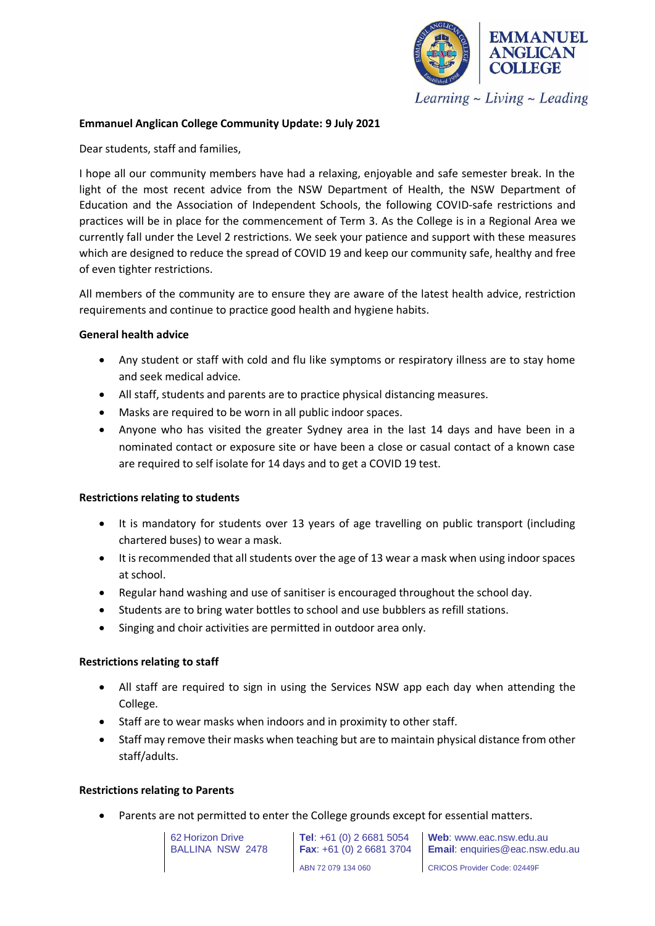

Learning  $\sim$  Living  $\sim$  Leading

### **Emmanuel Anglican College Community Update: 9 July 2021**

Dear students, staff and families,

I hope all our community members have had a relaxing, enjoyable and safe semester break. In the light of the most recent advice from the NSW Department of Health, the NSW Department of Education and the Association of Independent Schools, the following COVID-safe restrictions and practices will be in place for the commencement of Term 3. As the College is in a Regional Area we currently fall under the Level 2 restrictions. We seek your patience and support with these measures which are designed to reduce the spread of COVID 19 and keep our community safe, healthy and free of even tighter restrictions.

All members of the community are to ensure they are aware of the latest health advice, restriction requirements and continue to practice good health and hygiene habits.

#### **General health advice**

- Any student or staff with cold and flu like symptoms or respiratory illness are to stay home and seek medical advice.
- All staff, students and parents are to practice physical distancing measures.
- Masks are required to be worn in all public indoor spaces.
- Anyone who has visited the greater Sydney area in the last 14 days and have been in a nominated contact or exposure site or have been a close or casual contact of a known case are required to self isolate for 14 days and to get a COVID 19 test.

#### **Restrictions relating to students**

- It is mandatory for students over 13 years of age travelling on public transport (including chartered buses) to wear a mask.
- It is recommended that all students over the age of 13 wear a mask when using indoor spaces at school.
- Regular hand washing and use of sanitiser is encouraged throughout the school day.
- Students are to bring water bottles to school and use bubblers as refill stations.
- Singing and choir activities are permitted in outdoor area only.

# **Restrictions relating to staff**

- All staff are required to sign in using the Services NSW app each day when attending the College.
- Staff are to wear masks when indoors and in proximity to other staff.
- Staff may remove their masks when teaching but are to maintain physical distance from other staff/adults.

# **Restrictions relating to Parents**

• Parents are not permitted to enter the College grounds except for essential matters.

62 Horizon Drive BALLINA NSW 2478 **Tel**: +61 (0) 2 6681 5054 **Fax**: +61 (0) 2 6681 3704 ABN 72 079 134 060